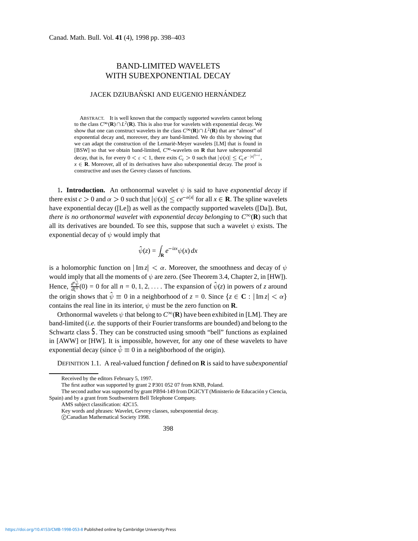## BAND-LIMITED WAVELETS WITH SUBEXPONENTIAL DECAY

## JACEK DZIUBAŃSKI AND EUGENIO HERNÁNDEZ

ABSTRACT. It is well known that the compactly supported wavelets cannot belong to the class  $C^{\infty}(\mathbf{R}) \cap L^2(\mathbf{R})$ . This is also true for wavelets with exponential decay. We show that one can construct wavelets in the class  $C^{\infty}(\mathbf{R}) \cap L^2(\mathbf{R})$  that are "almost" of exponential decay and, moreover, they are band-limited. We do this by showing that we can adapt the construction of the Lemarie-Meyer wavelets [LM] that is found in ´ [BSW] so that we obtain band-limited,  $C^\infty$ -wavelets on **R** that have subexponential decay, that is, for every  $0 < \varepsilon < 1$ , there exits  $C_{\varepsilon} > 0$  such that  $|\psi(x)| \le C_{\varepsilon}e^{-|x|^{1-\varepsilon}}$ ,  $x \in \mathbb{R}$ . Moreover, all of its derivatives have also subexponential decay. The proof is constructive and uses the Gevrey classes of functions.

1. **Introduction.** An orthonormal wavelet  $\psi$  is said to have *exponential decay* if there exist  $c > 0$  and  $\alpha > 0$  such that  $|\psi(x)| \leq ce^{-\alpha|x|}$  for all  $x \in \mathbf{R}$ . The spline wavelets have exponential decay ([Le]) as well as the compactly supported wavelets ([Da]). But, *there is no orthonormal wavelet with exponential decay belonging* to  $C^{\infty}(\mathbf{R})$  such that all its derivatives are bounded. To see this, suppose that such a wavelet  $\psi$  exists. The exponential decay of  $\psi$  would imply that

$$
\hat{\psi}(z) = \int_{\mathbf{R}} e^{-izx} \psi(x) \, dx
$$

is a holomorphic function on  $|\text{Im } z| < \alpha$ . Moreover, the smoothness and decay of  $\psi$ would imply that all the moments of  $\psi$  are zero. (See Theorem 3.4, Chapter 2, in [HW]). Hence,  $\frac{d^n \hat{\psi}}{d\xi^n}(0) = 0$  for all  $n = 0, 1, 2, \dots$ . The expansion of  $\hat{\psi}(z)$  in powers of *z* around the origin shows that  $\hat{\psi} \equiv 0$  in a neighborhood of  $z = 0$ . Since  $\{z \in \mathbb{C} : |\text{Im } z| < \alpha\}$ contains the real line in its interior,  $\psi$  must be the zero function on **R**.

Orthonormal wavelets  $\psi$  that belong to  $C^{\infty}(\mathbf{R})$  have been exhibited in [LM]. They are band-limited (*i.e.* the supports of their Fourier transforms are bounded) and belong to the Schwartz class *S*. They can be constructed using smooth "bell" functions as explained in [AWW] or [HW]. It is impossible, however, for any one of these wavelets to have exponential decay (since  $\hat{\psi} \equiv 0$  in a neighborhood of the origin).

DEFINITION 1.1. A real-valued function *f* defined on **R** is said to have *subexponential*

AMS subject classification: 42C15.

Key words and phrases: Wavelet, Gevrey classes, subexponential decay.

CCanadian Mathematical Society 1998.



Received by the editors February 5, 1997.

The first author was supported by grant 2 P301 052 07 from KNB, Poland.

The second author was supported by grant PB94-149 from DGICYT (Ministerio de Educacion y Ciencia, ´ Spain) and by a grant from Southwestern Bell Telephone Company.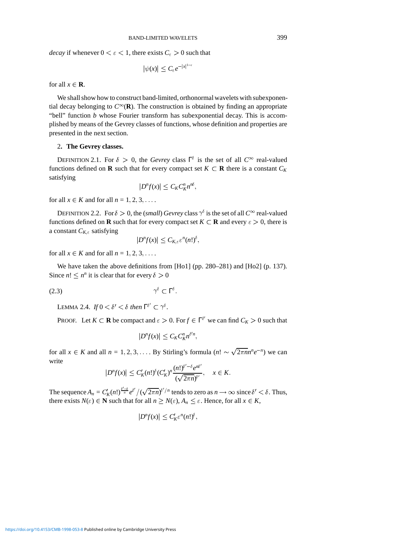*decay* if whenever  $0 < \varepsilon < 1$ , there exists  $C_{\varepsilon} > 0$  such that

$$
|\psi(x)| \leq C_{\varepsilon} e^{-|x|^{1-\varepsilon}}
$$

for all  $x \in \mathbf{R}$ .

We shall show how to construct band-limited, orthonormal wavelets with subexponential decay belonging to  $C^{\infty}(\mathbf{R})$ . The construction is obtained by finding an appropriate "bell" function *b* whose Fourier transform has subexponential decay. This is accomplished by means of the Gevrey classes of functions, whose definition and properties are presented in the next section.

## 2**. The Gevrey classes.**

DEFINITION 2.1. For  $\delta > 0$ , the *Gevrey* class  $\Gamma^{\delta}$  is the set of all  $C^{\infty}$  real-valued functions defined on **R** such that for every compact set  $K \subset \mathbf{R}$  there is a constant  $C_K$ satisfying

$$
|D^{n}f(x)| \leq C_{K}C_{K}^{n}n^{n\delta},
$$

for all  $x \in K$  and for all  $n = 1, 2, 3, \ldots$ .

DEFINITION 2.2. For  $\delta > 0$ , the (*small*) *Gevrey* class  $\gamma^{\delta}$  is the set of all  $C^{\infty}$  real-valued functions defined on **R** such that for every compact set  $K \subset \mathbf{R}$  and every  $\varepsilon > 0$ , there is a constant  $C_{K,\varepsilon}$  satisfying

$$
|D^{n}f(x)| \leq C_{K,\varepsilon} \varepsilon^{n}(n!)^{\delta},
$$

for all  $x \in K$  and for all  $n = 1, 2, 3, \ldots$ .

We have taken the above definitions from [Ho1] (pp. 280–281) and [Ho2] (p. 137). Since  $n! \leq n^n$  it is clear that for every  $\delta > 0$ 

$$
\gamma^{\delta} \subset \Gamma^{\delta}.
$$

LEMMA 2.4. *If*  $0 < \delta' < \delta$  then  $\Gamma^{\delta'} \subset \gamma^{\delta}$ .

PROOF. Let  $K \subset \mathbf{R}$  be compact and  $\varepsilon > 0$ . For  $f \in \Gamma^{\delta'}$  we can find  $C_K > 0$  such that

$$
|D^{n}f(x)|\leq C_{K}C_{K}^{n}n^{\delta n},
$$

for all  $x \in K$  and all  $n = 1, 2, 3, \ldots$  By Stirling's formula  $(n! \sim \sqrt{2\pi n}n^n e^{-n})$  we can write

$$
|D^{n}f(x)| \leq C'_{K}(n!)^{\delta} (C'_{K})^{n} \frac{(n!)^{\delta'-\delta} e^{n\delta'}}{(\sqrt{2\pi n})^{\delta'}}, \quad x \in K.
$$

The sequence  $A_n = C'_K(n!)^{\frac{\delta'-\delta}{n}} e^{\delta'}/(\sqrt{2\pi n})^{\delta'/n}$  tends to zero as  $n \to \infty$  since  $\delta' < \delta$ . Thus, there exists  $N(\varepsilon) \in \mathbb{N}$  such that for all  $n \ge N(\varepsilon)$ ,  $A_n \le \varepsilon$ . Hence, for all  $x \in K$ ,

$$
|D^{n}f(x)| \leq C'_{K} \varepsilon^{n}(n!)^{\delta},
$$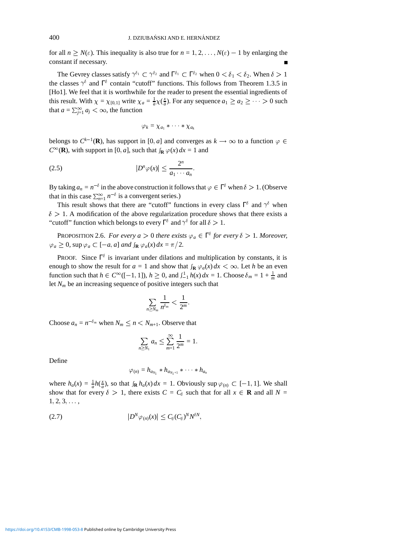for all  $n \ge N(\varepsilon)$ . This inequality is also true for  $n = 1, 2, ..., N(\varepsilon) - 1$  by enlarging the constant if necessary.

The Gevrey classes satisfy  $\gamma^{\delta_1} \subset \gamma^{\delta_2}$  and  $\Gamma^{\delta_1} \subset \Gamma^{\delta_2}$  when  $0 < \delta_1 < \delta_2$ . When  $\delta > 1$ the classes  $\gamma^{\delta}$  and  $\Gamma^{\delta}$  contain "cutoff" functions. This follows from Theorem 1.3.5 in [Ho1]. We feel that it is worthwhile for the reader to present the essential ingredients of this result. With  $\chi = \chi_{[0,1]}$  write  $\chi_a = \frac{1}{a} \chi(\frac{x}{a})$ . For any sequence  $a_1 \ge a_2 \ge \cdots > 0$  such that  $a = \sum_{j=1}^{\infty} a_j < \infty$ , the function

$$
\varphi_k = \chi_{a_1} * \cdots * \chi_{a_k}
$$

belongs to  $C^{k-1}(\mathbf{R})$ , has support in [0, a] and converges as  $k \to \infty$  to a function  $\varphi \in$  $C^{\infty}(\mathbf{R})$ , with support in [0, *a*], such that  $\int_{\mathbf{R}} \varphi(x) dx = 1$  and

$$
(2.5) \t |D^n \varphi(x)| \leq \frac{2^n}{a_1 \cdots a_n}.
$$

By taking  $a_n = n^{-\delta}$  in the above construction it follows that  $\varphi \in \Gamma^{\delta}$  when  $\delta > 1$ . (Observe that in this case  $\sum_{n=1}^{\infty} n^{-\delta}$  is a convergent series.)

This result shows that there are "cutoff" functions in every class  $\Gamma^{\delta}$  and  $\gamma^{\delta}$  when  $\delta$  > 1. A modification of the above regularization procedure shows that there exists a "cutoff" function which belongs to every  $\Gamma^{\delta}$  and  $\gamma^{\delta}$  for all  $\delta > 1$ .

**PROPOSITION 2.6.** *For every*  $a > 0$  *there exists*  $\varphi_a \in \Gamma^{\delta}$  *for every*  $\delta > 1$ *. Moreover,*  $\varphi_a \geq 0$ , sup  $\varphi_a \subset [-a, a]$  *and*  $\int_{\mathbf{R}} \varphi_a(x) dx = \pi/2$ .

PROOF. Since  $\Gamma^{\delta}$  is invariant under dilations and multiplication by constants, it is enough to show the result for  $a = 1$  and show that  $\int_{\mathbf{R}} \varphi_a(x) dx < \infty$ . Let *h* be an even function such that  $h \in C^{\infty}([-1, 1])$ ,  $h \ge 0$ , and  $\int_{-1}^{1} h(x) dx = 1$ . Choose  $\delta_m = 1 + \frac{1}{m}$  and let *Nm* be an increasing sequence of positive integers such that

$$
\sum_{n\geq N_m}\frac{1}{n^{\delta_m}}<\frac{1}{2^m}.
$$

Choose  $a_n = n^{-\delta_m}$  when  $N_m \le n \lt N_{m+1}$ . Observe that

$$
\sum_{n\geq N_1}a_n\leq \sum_{m=1}^{\infty}\frac{1}{2^m}=1.
$$

Define

$$
\varphi_{(n)} = h_{a_{N_1}} * h_{a_{N_1+1}} * \cdots * h_{a_n}
$$

where  $h_a(x) = \frac{1}{a}h(\frac{x}{a})$ , so that  $\int_R h_a(x) dx = 1$ . Obviously sup  $\varphi_{(n)} \subset [-1, 1]$ . We shall show that for every  $\delta > 1$ , there exists  $C = C_{\delta}$  such that for all  $x \in \mathbf{R}$  and all  $N =$  $1, 2, 3, \ldots,$ 

$$
(2.7) \t\t\t |D^N \varphi_{(n)}(x)| \leq C_{\delta}(C_{\delta})^N N^{\delta N},
$$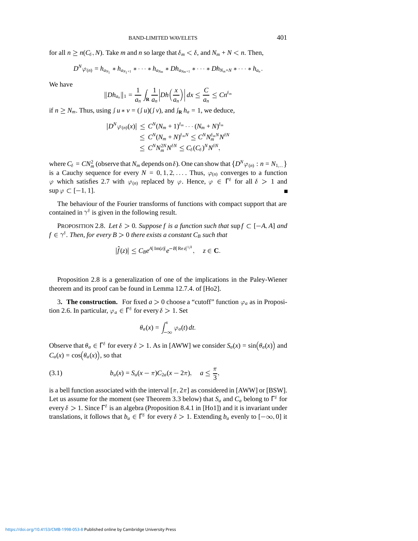for all  $n \ge n(C_\delta, N)$ . Take *m* and *n* so large that  $\delta_m < \delta$ , and  $N_m + N < n$ . Then,

$$
D^N \varphi_{(n)} = h_{a_{N_1}} * h_{a_{N_1+1}} * \cdots * h_{a_{N_m}} * Dh_{a_{N_m+1}} * \cdots * Dh_{N_m+N} * \cdots * h_{a_n}.
$$

We have

$$
||Dh_{a_n}||_1 = \frac{1}{a_n} \int_{\mathbf{R}} \frac{1}{a_n} |Dh\left(\frac{x}{a_n}\right)| dx \leq \frac{C}{a_n} \leq C n^{\delta_m}
$$

if  $n \geq N_m$ . Thus, using  $\int u * v = (\int u)(\int v)$ , and  $\int_{\mathbf{R}} h_a = 1$ , we deduce,

$$
|D^N \varphi_{(n)}(x)| \leq C^N (N_m + 1)^{\delta_m} \cdots (N_m + N)^{\delta_m}
$$
  
\n
$$
\leq C^N (N_m + N)^{\delta_m N} \leq C^N N_m^{\delta_m N} N^{\delta N}
$$
  
\n
$$
\leq C^N N_m^{2N} N^{\delta N} \leq C_{\delta} (C_{\delta})^N N^{\delta N},
$$

where  $C_{\delta} = CN_m^2$  (observe that  $N_m$  depends on  $\delta$ ). One can show that  $\{D^N \varphi_{(n)} : n = N_{1,...}\}$ is a Cauchy sequence for every  $N = 0, 1, 2, \ldots$  Thus,  $\varphi_{(n)}$  converges to a function  $\varphi$  which satisfies 2.7 with  $\varphi_{(n)}$  replaced by  $\varphi$ . Hence,  $\varphi \in \Gamma^{\delta}$  for all  $\delta > 1$  and  $\sup \varphi \subset [-1, 1].$ 

The behaviour of the Fourier transforms of functions with compact support that are contained in  $\gamma^{\delta}$  is given in the following result.

PROPOSITION 2.8. *Let*  $\delta > 0$ . Suppose f is a function such that supf  $\subset [-A, A]$  and  $f \in \gamma^\delta.$  Then, for every  $B>0$  there exists a constant  $C_B$  such that

$$
|\hat{f}(z)| \leq C_B e^{A|\operatorname{Im}(z)|} e^{-B|\operatorname{Re} z|^{1/\delta}}, \quad z \in \mathbf{C}.
$$

Proposition 2.8 is a generalization of one of the implications in the Paley-Wiener theorem and its proof can be found in Lemma 12.7.4. of [Ho2].

**3. The construction.** For fixed  $a > 0$  choose a "cutoff" function  $\varphi_a$  as in Proposition 2.6. In particular,  $\varphi_a \in \Gamma^{\delta}$  for every  $\delta > 1$ . Set

$$
\theta_a(x) = \int_{-\infty}^x \varphi_a(t) dt.
$$

Observe that  $\theta_a \in \Gamma^{\delta}$  for every  $\delta > 1$ . As in [AWW] we consider  $S_a(x) = \sin(\theta_a(x))$  and  $C_a(x) = \cos(\theta_a(x))$ , so that

(3.1) 
$$
b_a(x) = S_a(x - \pi)C_{2a}(x - 2\pi), \quad a \leq \frac{\pi}{3},
$$

is a bell function associated with the interval  $[\pi, 2\pi]$  as considered in [AWW] or [BSW]. Let us assume for the moment (see Theorem 3.3 below) that  $S_a$  and  $C_a$  belong to  $\Gamma^{\delta}$  for every  $\delta > 1$ . Since  $\Gamma^{\delta}$  is an algebra (Proposition 8.4.1 in [Ho1]) and it is invariant under translations, it follows that  $b_a \in \Gamma^{\delta}$  for every  $\delta > 1$ . Extending  $b_a$  evenly to  $[-\infty, 0]$  it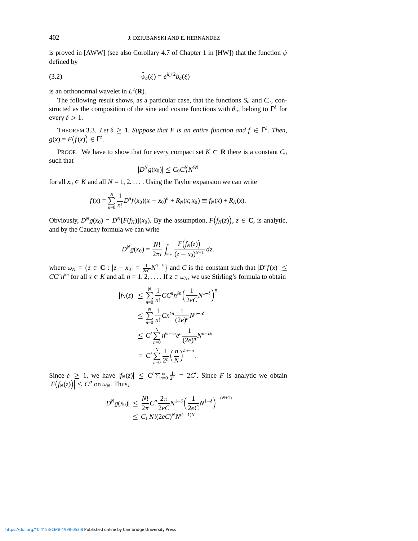is proved in [AWW] (see also Corollary 4.7 of Chapter 1 in [HW]) that the function  $\psi$ defined by

$$
\hat{\psi}_a(\xi) = e^{i\xi/2} b_a(\xi)
$$

is an orthonormal wavelet in  $L^2(\mathbf{R})$ .

The following result shows, as a particular case, that the functions  $S_a$  and  $C_a$ , constructed as the composition of the sine and cosine functions with  $\theta_a$ , belong to  $\Gamma^{\delta}$  for every  $\delta > 1$ .

**THEOREM 3.3.** Let  $\delta \geq 1$ . Suppose that F is an entire function and  $f \in \Gamma^{\delta}$ . Then,  $g(x) = F(f(x)) \in \Gamma^{\delta}$ .

PROOF. We have to show that for every compact set  $K \subset \mathbf{R}$  there is a constant  $C_0$ such that

$$
|D^Ng(x_0)|\leq C_0C_0^N N^{\delta N}
$$

for all  $x_0 \in K$  and all  $N = 1, 2, \ldots$ . Using the Taylor expansion we can write

$$
f(x) = \sum_{n=0}^{N} \frac{1}{n!} D^{n} f(x_0)(x - x_0)^{n} + R_N(x; x_0) \equiv f_N(x) + R_N(x).
$$

Obviously,  $D^N g(x_0) = D^N [F(f_N)](x_0)$ . By the assumption,  $F(f_N(z))$ ,  $z \in \mathbb{C}$ , is analytic, and by the Cauchy formula we can write

$$
D^{N}g(x_{0}) = \frac{N!}{2\pi i} \int_{\omega_{N}} \frac{F(f_{N}(z))}{(z - x_{0})^{N+1}} dz,
$$

where  $\omega_N = \{z \in \mathbf{C} : |z - x_0| = \frac{1}{2eC} N^{1-\delta}\}\$  and *C* is the constant such that  $|D^n f(x)| \le$  $CC^n n^{\delta n}$  for all  $x \in K$  and all  $n = 1, 2, \ldots$  If  $z \in \omega_N$ , we use Stirling's formula to obtain

$$
|f_N(z)| \leq \sum_{n=0}^N \frac{1}{n!} CC^n n^{\delta n} \Big(\frac{1}{2eC} N^{1-\delta}\Big)^n
$$
  

$$
\leq \sum_{n=0}^N \frac{1}{n!} Cn^{\delta n} \frac{1}{(2e)^n} N^{n-n\delta}
$$
  

$$
\leq C' \sum_{n=0}^N n^{\delta n-n} e^n \frac{1}{(2e)^n} N^{n-n\delta}
$$
  

$$
= C' \sum_{n=0}^N \frac{1}{2^n} \Big(\frac{n}{N}\Big)^{\delta n-n}.
$$

Since  $\delta \geq 1$ , we have  $|f_N(z)| \leq C' \sum_{n=0}^{\infty} \frac{1}{2^n} = 2C'$ . Since *F* is analytic we obtain  $|F(f_N(z))| \leq C''$  on  $\omega_N$ . Thus,

$$
|D^N g(x_0)| \leq \frac{N!}{2\pi} C'' \frac{2\pi}{2eC} N^{1-\delta} \Big(\frac{1}{2eC} N^{1-\delta}\Big)^{-(N+1)}
$$
  
 
$$
\leq C_1 N! (2eC)^N N^{(\delta-1)N}.
$$